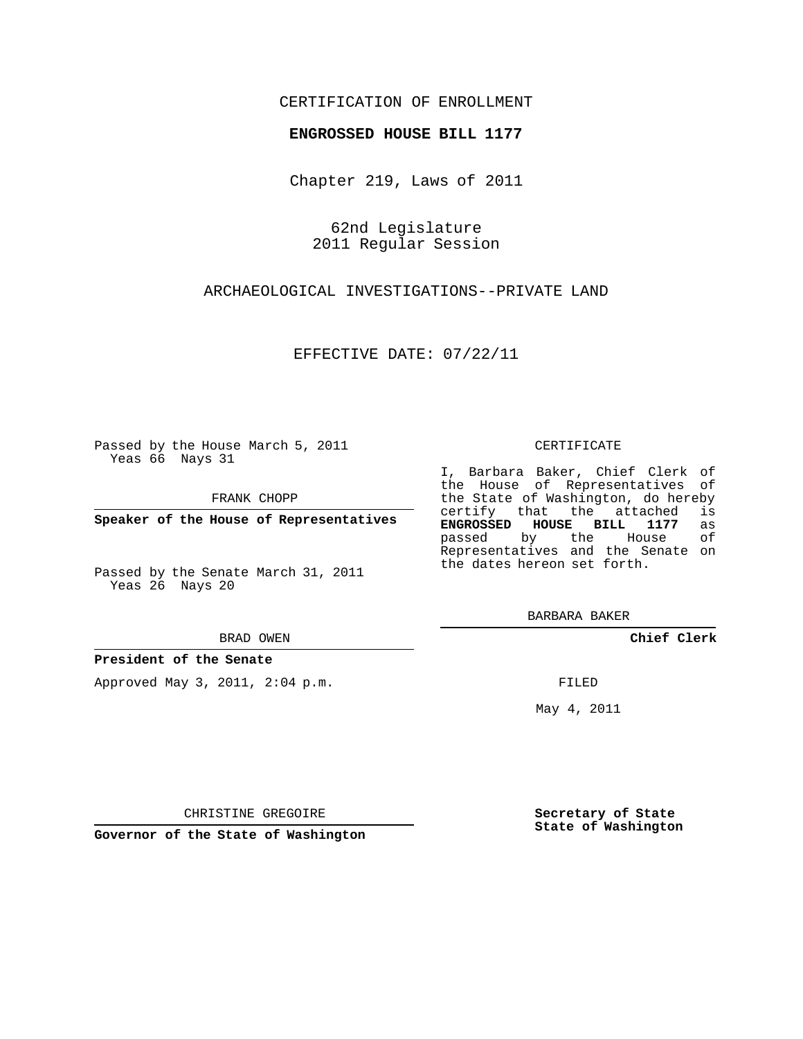### CERTIFICATION OF ENROLLMENT

### **ENGROSSED HOUSE BILL 1177**

Chapter 219, Laws of 2011

62nd Legislature 2011 Regular Session

ARCHAEOLOGICAL INVESTIGATIONS--PRIVATE LAND

EFFECTIVE DATE: 07/22/11

Passed by the House March 5, 2011 Yeas 66 Nays 31

FRANK CHOPP

**Speaker of the House of Representatives**

Passed by the Senate March 31, 2011 Yeas 26 Nays 20

#### BRAD OWEN

### **President of the Senate**

Approved May 3, 2011, 2:04 p.m.

#### CERTIFICATE

I, Barbara Baker, Chief Clerk of the House of Representatives of the State of Washington, do hereby<br>certify that the attached is certify that the attached is<br>**ENGROSSED HOUSE BILL 1177** as **ENGROSSED HOUSE BILL 1177** as passed by the House Representatives and the Senate on the dates hereon set forth.

BARBARA BAKER

**Chief Clerk**

FILED

May 4, 2011

**Secretary of State State of Washington**

CHRISTINE GREGOIRE

**Governor of the State of Washington**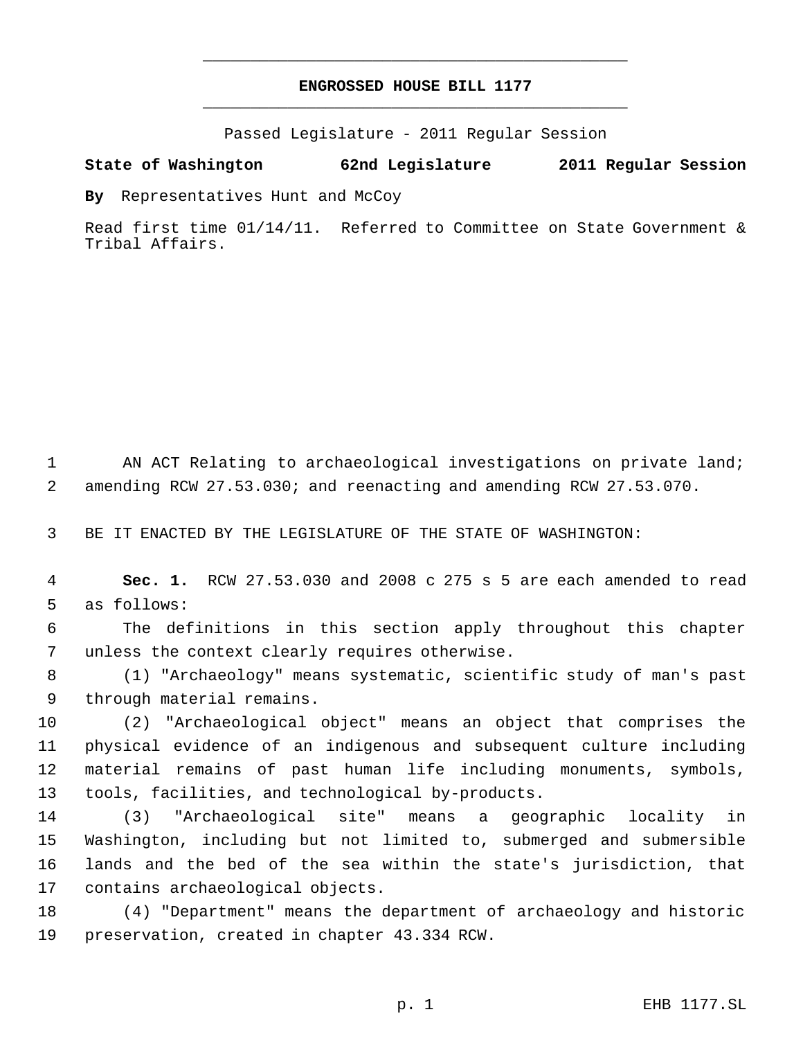# **ENGROSSED HOUSE BILL 1177** \_\_\_\_\_\_\_\_\_\_\_\_\_\_\_\_\_\_\_\_\_\_\_\_\_\_\_\_\_\_\_\_\_\_\_\_\_\_\_\_\_\_\_\_\_

\_\_\_\_\_\_\_\_\_\_\_\_\_\_\_\_\_\_\_\_\_\_\_\_\_\_\_\_\_\_\_\_\_\_\_\_\_\_\_\_\_\_\_\_\_

Passed Legislature - 2011 Regular Session

## **State of Washington 62nd Legislature 2011 Regular Session**

**By** Representatives Hunt and McCoy

Read first time 01/14/11. Referred to Committee on State Government & Tribal Affairs.

1 AN ACT Relating to archaeological investigations on private land; amending RCW 27.53.030; and reenacting and amending RCW 27.53.070.

BE IT ENACTED BY THE LEGISLATURE OF THE STATE OF WASHINGTON:

 **Sec. 1.** RCW 27.53.030 and 2008 c 275 s 5 are each amended to read as follows:

 The definitions in this section apply throughout this chapter unless the context clearly requires otherwise.

 (1) "Archaeology" means systematic, scientific study of man's past through material remains.

 (2) "Archaeological object" means an object that comprises the physical evidence of an indigenous and subsequent culture including material remains of past human life including monuments, symbols, tools, facilities, and technological by-products.

 (3) "Archaeological site" means a geographic locality in Washington, including but not limited to, submerged and submersible lands and the bed of the sea within the state's jurisdiction, that contains archaeological objects.

 (4) "Department" means the department of archaeology and historic preservation, created in chapter 43.334 RCW.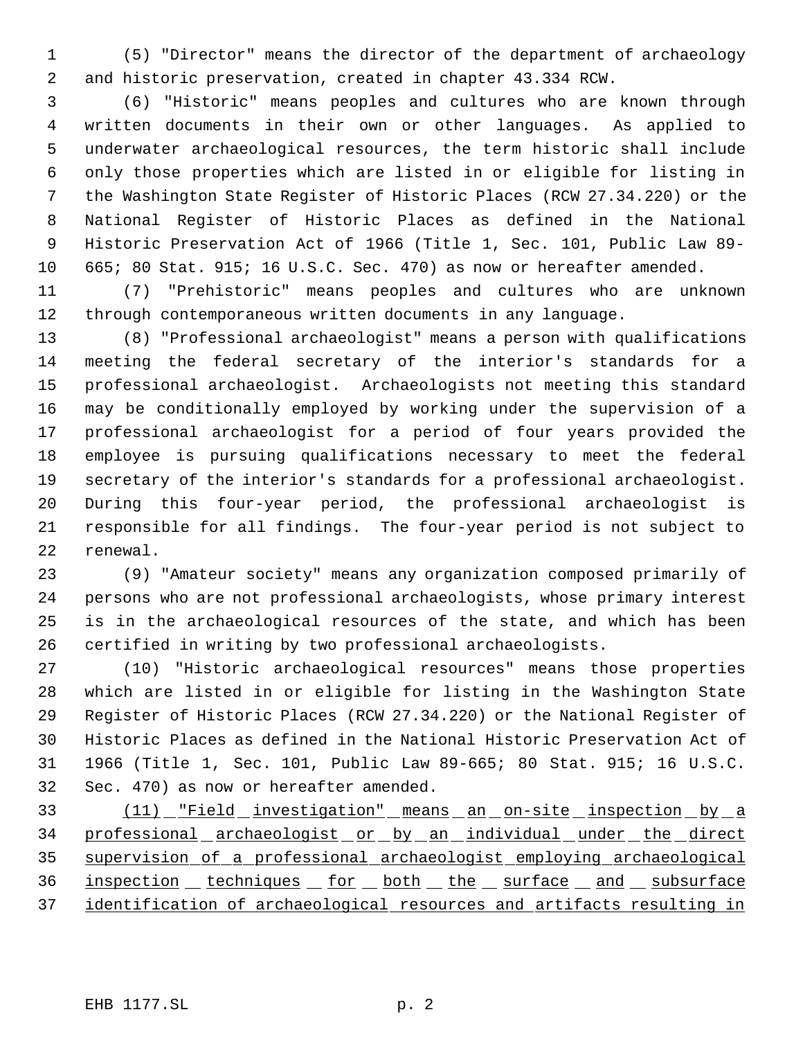(5) "Director" means the director of the department of archaeology and historic preservation, created in chapter 43.334 RCW.

 (6) "Historic" means peoples and cultures who are known through written documents in their own or other languages. As applied to underwater archaeological resources, the term historic shall include only those properties which are listed in or eligible for listing in the Washington State Register of Historic Places (RCW 27.34.220) or the National Register of Historic Places as defined in the National Historic Preservation Act of 1966 (Title 1, Sec. 101, Public Law 89- 665; 80 Stat. 915; 16 U.S.C. Sec. 470) as now or hereafter amended.

 (7) "Prehistoric" means peoples and cultures who are unknown through contemporaneous written documents in any language.

 (8) "Professional archaeologist" means a person with qualifications meeting the federal secretary of the interior's standards for a professional archaeologist. Archaeologists not meeting this standard may be conditionally employed by working under the supervision of a professional archaeologist for a period of four years provided the employee is pursuing qualifications necessary to meet the federal secretary of the interior's standards for a professional archaeologist. During this four-year period, the professional archaeologist is responsible for all findings. The four-year period is not subject to renewal.

 (9) "Amateur society" means any organization composed primarily of persons who are not professional archaeologists, whose primary interest is in the archaeological resources of the state, and which has been certified in writing by two professional archaeologists.

 (10) "Historic archaeological resources" means those properties which are listed in or eligible for listing in the Washington State Register of Historic Places (RCW 27.34.220) or the National Register of Historic Places as defined in the National Historic Preservation Act of 1966 (Title 1, Sec. 101, Public Law 89-665; 80 Stat. 915; 16 U.S.C. Sec. 470) as now or hereafter amended.

 (11) "Field investigation" means an on-site inspection by a 34 professional archaeologist or by an individual under the direct supervision of a professional archaeologist employing archaeological 36 inspection techniques for both the surface and subsurface identification of archaeological resources and artifacts resulting in